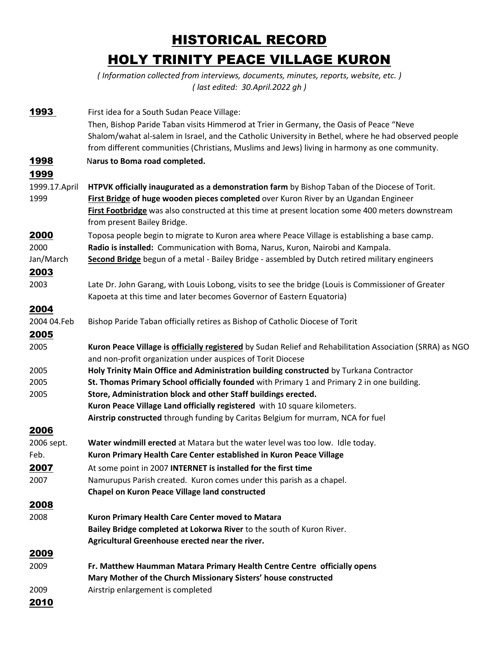## HISTORICAL RECORD HOLY TRINITY PEACE VILLAGE KURON

*( Information collected from interviews, documents, minutes, reports, website, etc. ) ( last edited: 30.April.2022 gh )* 

| 1993          | First idea for a South Sudan Peace Village:                                                               |
|---------------|-----------------------------------------------------------------------------------------------------------|
|               | Then, Bishop Paride Taban visits Himmerod at Trier in Germany, the Oasis of Peace "Neve                   |
|               | Shalom/wahat al-salem in Israel, and the Catholic University in Bethel, where he had observed people      |
|               | from different communities (Christians, Muslims and Jews) living in harmony as one community.             |
| 1998          | Narus to Boma road completed.                                                                             |
| 1999          |                                                                                                           |
| 1999.17.April | HTPVK officially inaugurated as a demonstration farm by Bishop Taban of the Diocese of Torit.             |
| 1999          | First Bridge of huge wooden pieces completed over Kuron River by an Ugandan Engineer                      |
|               | First Footbridge was also constructed at this time at present location some 400 meters downstream         |
|               | from present Bailey Bridge.                                                                               |
| 2000          | Toposa people begin to migrate to Kuron area where Peace Village is establishing a base camp.             |
| 2000          | Radio is installed: Communication with Boma, Narus, Kuron, Nairobi and Kampala.                           |
| Jan/March     | Second Bridge begun of a metal - Bailey Bridge - assembled by Dutch retired military engineers            |
| <u> 2003 </u> |                                                                                                           |
| 2003          | Late Dr. John Garang, with Louis Lobong, visits to see the bridge (Louis is Commissioner of Greater       |
|               | Kapoeta at this time and later becomes Governor of Eastern Equatoria)                                     |
| 2004          |                                                                                                           |
| 2004 04.Feb   | Bishop Paride Taban officially retires as Bishop of Catholic Diocese of Torit                             |
| <u> 2005</u>  |                                                                                                           |
| 2005          | Kuron Peace Village is officially registered by Sudan Relief and Rehabilitation Association (SRRA) as NGO |
|               | and non-profit organization under auspices of Torit Diocese                                               |
| 2005          | Holy Trinity Main Office and Administration building constructed by Turkana Contractor                    |
| 2005          | St. Thomas Primary School officially founded with Primary 1 and Primary 2 in one building.                |
| 2005          | Store, Administration block and other Staff buildings erected.                                            |
|               | Kuron Peace Village Land officially registered with 10 square kilometers.                                 |
|               | Airstrip constructed through funding by Caritas Belgium for murram, NCA for fuel                          |
| 2006          |                                                                                                           |
| 2006 sept.    | Water windmill erected at Matara but the water level was too low. Idle today.                             |
| Feb.          | Kuron Primary Health Care Center established in Kuron Peace Village                                       |
| <u> 2007 </u> | At some point in 2007 INTERNET is installed for the first time                                            |
| 2007          | Namurupus Parish created. Kuron comes under this parish as a chapel.                                      |
|               | <b>Chapel on Kuron Peace Village land constructed</b>                                                     |
| 2008          |                                                                                                           |
| 2008          | Kuron Primary Health Care Center moved to Matara                                                          |
|               | Bailey Bridge completed at Lokorwa River to the south of Kuron River.                                     |
|               | Agricultural Greenhouse erected near the river.                                                           |
| 2009          |                                                                                                           |
| 2009          | Fr. Matthew Haumman Matara Primary Health Centre Centre officially opens                                  |
|               | Mary Mother of the Church Missionary Sisters' house constructed                                           |
| 2009          | Airstrip enlargement is completed                                                                         |
| 2010          |                                                                                                           |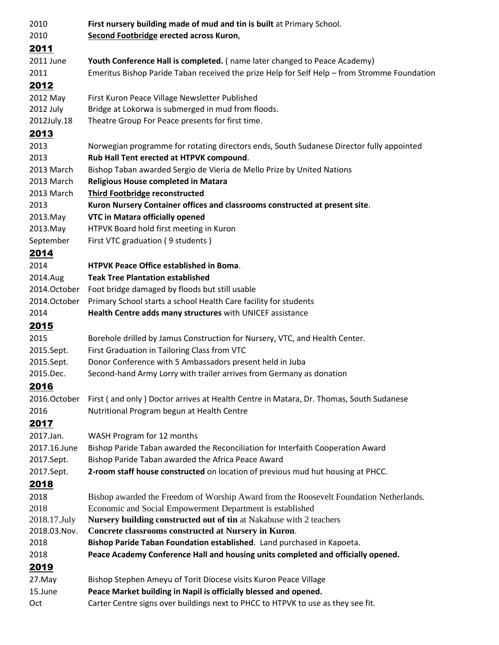| 2010         | First nursery building made of mud and tin is built at Primary School.                       |
|--------------|----------------------------------------------------------------------------------------------|
| 2010         | Second Footbridge erected across Kuron,                                                      |
| 2011         |                                                                                              |
| 2011 June    | Youth Conference Hall is completed. (name later changed to Peace Academy)                    |
| 2011         | Emeritus Bishop Paride Taban received the prize Help for Self Help - from Stromme Foundation |
| 2012         |                                                                                              |
| 2012 May     | First Kuron Peace Village Newsletter Published                                               |
| 2012 July    | Bridge at Lokorwa is submerged in mud from floods.                                           |
| 2012July.18  | Theatre Group For Peace presents for first time.                                             |
| 2013         |                                                                                              |
| 2013         | Norwegian programme for rotating directors ends, South Sudanese Director fully appointed     |
| 2013         | Rub Hall Tent erected at HTPVK compound.                                                     |
| 2013 March   | Bishop Taban awarded Sergio de Vieria de Mello Prize by United Nations                       |
| 2013 March   | Religious House completed in Matara                                                          |
| 2013 March   | <b>Third Footbridge reconstructed</b>                                                        |
| 2013         | Kuron Nursery Container offices and classrooms constructed at present site.                  |
| 2013.May     | <b>VTC in Matara officially opened</b>                                                       |
| 2013.May     | HTPVK Board hold first meeting in Kuron                                                      |
| September    | First VTC graduation (9 students)                                                            |
| 2014         |                                                                                              |
| 2014         | HTPVK Peace Office established in Boma.                                                      |
| 2014.Aug     | <b>Teak Tree Plantation established</b>                                                      |
| 2014.October | Foot bridge damaged by floods but still usable                                               |
| 2014.October | Primary School starts a school Health Care facility for students                             |
| 2014         | Health Centre adds many structures with UNICEF assistance                                    |
| 2015         |                                                                                              |
| 2015         | Borehole drilled by Jamus Construction for Nursery, VTC, and Health Center.                  |
| 2015.Sept.   | First Graduation in Tailoring Class from VTC                                                 |
| 2015.Sept.   | Donor Conference with 5 Ambassadors present held in Juba                                     |
| 2015.Dec.    | Second-hand Army Lorry with trailer arrives from Germany as donation                         |
| 2016         |                                                                                              |
| 2016.October | First (and only) Doctor arrives at Health Centre in Matara, Dr. Thomas, South Sudanese       |
| 2016         | Nutritional Program begun at Health Centre                                                   |
| 2017         |                                                                                              |
| 2017.Jan.    | WASH Program for 12 months                                                                   |
| 2017.16.June | Bishop Paride Taban awarded the Reconciliation for Interfaith Cooperation Award              |
| 2017.Sept.   | Bishop Paride Taban awarded the Africa Peace Award                                           |
| 2017.Sept.   | 2-room staff house constructed on location of previous mud hut housing at PHCC.              |
| 2018         |                                                                                              |
| 2018         | Bishop awarded the Freedom of Worship Award from the Roosevelt Foundation Netherlands.       |
| 2018         | Economic and Social Empowerment Department is established                                    |
| 2018.17.July | Nursery building constructed out of tin at Nakabuse with 2 teachers                          |
| 2018.03.Nov. | Concrete classrooms constructed at Nursery in Kuron.                                         |
| 2018         | Bishop Paride Taban Foundation established. Land purchased in Kapoeta.                       |
| 2018         | Peace Academy Conference Hall and housing units completed and officially opened.             |
| 2019         |                                                                                              |
| 27.May       | Bishop Stephen Ameyu of Torit Diocese visits Kuron Peace Village                             |
| 15.June      | Peace Market building in Napil is officially blessed and opened.                             |
| Oct          | Carter Centre signs over buildings next to PHCC to HTPVK to use as they see fit.             |